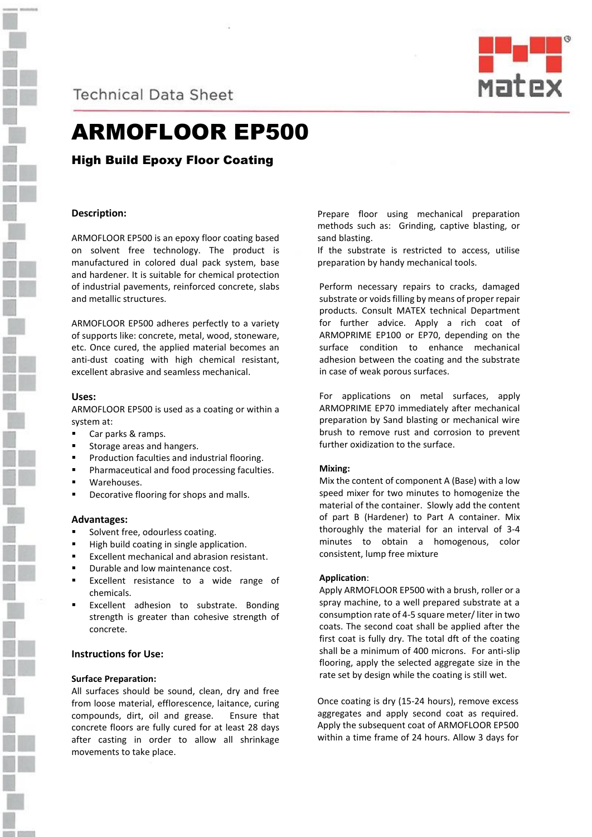

**Technical Data Sheet** 



# ARMOFLOOR EP500

High Build Epoxy Floor Coating

# **Description:**

ARMOFLOOR EP500 is an epoxy floor coating based on solvent free technology. The product is manufactured in colored dual pack system, base and hardener. It is suitable for chemical protection of industrial pavements, reinforced concrete, slabs and metallic structures.

ARMOFLOOR EP500 adheres perfectly to a variety of supports like: concrete, metal, wood, stoneware, etc. Once cured, the applied material becomes an anti-dust coating with high chemical resistant, excellent abrasive and seamless mechanical.

## **Uses:**

ARMOFLOOR EP500 is used as a coating or within a system at:

- Car parks & ramps.
- Storage areas and hangers.
- Production faculties and industrial flooring.
- Pharmaceutical and food processing faculties.
- Warehouses.
- Decorative flooring for shops and malls.

# **Advantages:**

- Solvent free, odourless coating.
- High build coating in single application.
- Excellent mechanical and abrasion resistant.
- Durable and low maintenance cost.
- Excellent resistance to a wide range of chemicals.
- Excellent adhesion to substrate. Bonding strength is greater than cohesive strength of concrete.

# **Instructions for Use:**

## **Surface Preparation:**

All surfaces should be sound, clean, dry and free from loose material, efflorescence, laitance, curing compounds, dirt, oil and grease. Ensure that concrete floors are fully cured for at least 28 days after casting in order to allow all shrinkage movements to take place.

Prepare floor using mechanical preparation methods such as: Grinding, captive blasting, or sand blasting.

If the substrate is restricted to access, utilise preparation by handy mechanical tools.

Perform necessary repairs to cracks, damaged substrate or voids filling by means of proper repair products. Consult MATEX technical Department for further advice. Apply a rich coat of ARMOPRIME EP100 or EP70, depending on the surface condition to enhance mechanical adhesion between the coating and the substrate in case of weak porous surfaces.

For applications on metal surfaces, apply ARMOPRIME EP70 immediately after mechanical preparation by Sand blasting or mechanical wire brush to remove rust and corrosion to prevent further oxidization to the surface.

#### **Mixing:**

Mix the content of component A (Base) with a low speed mixer for two minutes to homogenize the material of the container. Slowly add the content of part B (Hardener) to Part A container. Mix thoroughly the material for an interval of 3-4 minutes to obtain a homogenous, color consistent, lump free mixture

#### **Application**:

Apply ARMOFLOOR EP500 with a brush, roller or a spray machine, to a well prepared substrate at a consumption rate of 4-5 square meter/ liter in two coats. The second coat shall be applied after the first coat is fully dry. The total dft of the coating shall be a minimum of 400 microns. For anti-slip flooring, apply the selected aggregate size in the rate set by design while the coating is still wet.

Once coating is dry (15-24 hours), remove excess aggregates and apply second coat as required. Apply the subsequent coat of ARMOFLOOR EP500 within a time frame of 24 hours. Allow 3 days for